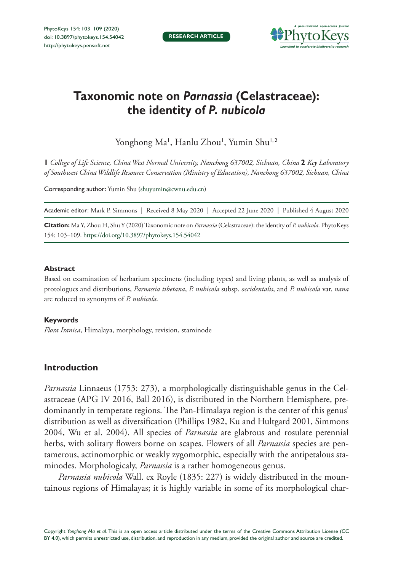

# **Taxonomic note on** *Parnassia* **(Celastraceae): the identity of** *P. nubicola*

Yonghong Ma', Hanlu Zhou', Yumin Shu<sup>1,2</sup>

**1** *College of Life Science, China West Normal University, Nanchong 637002, Sichuan, China* **2** *Key Laboratory of Southwest China Wildlife Resource Conservation (Ministry of Education), Nanchong 637002, Sichuan, China*

Corresponding author: Yumin Shu [\(shuyumin@cwnu.edu.cn](mailto:shuyumin@cwnu.edu.cn))

Academic editor: Mark P. Simmons | Received 8 May 2020 | Accepted 22 June 2020 | Published 4 August 2020

**Citation:** Ma Y, Zhou H, Shu Y (2020) Taxonomic note on *Parnassia* (Celastraceae): the identity of *P. nubicola*. PhytoKeys 154: 103–109.<https://doi.org/10.3897/phytokeys.154.54042>

#### **Abstract**

Based on examination of herbarium specimens (including types) and living plants, as well as analysis of protologues and distributions, *Parnassia tibetana*, *P. nubicola* subsp. *occidentalis*, and *P. nubicola* var. *nana* are reduced to synonyms of *P. nubicola.*

#### **Keywords**

*Flora Iranica*, Himalaya, morphology, revision, staminode

## **Introduction**

*Parnassia* Linnaeus (1753: 273), a morphologically distinguishable genus in the Celastraceae (APG IV 2016, Ball 2016), is distributed in the Northern Hemisphere, predominantly in temperate regions. The Pan-Himalaya region is the center of this genus' distribution as well as diversification (Phillips 1982, Ku and Hultgard 2001, Simmons 2004, Wu et al. 2004). All species of *Parnassia* are glabrous and rosulate perennial herbs, with solitary flowers borne on scapes. Flowers of all *Parnassia* species are pentamerous, actinomorphic or weakly zygomorphic, especially with the antipetalous staminodes. Morphologicaly, *Parnassia* is a rather homogeneous genus.

*Parnassia nubicola* Wall. ex Royle (1835: 227) is widely distributed in the mountainous regions of Himalayas; it is highly variable in some of its morphological char-

Copyright *Yonghong Ma et al.* This is an open access article distributed under the terms of the [Creative Commons Attribution License \(CC](http://creativecommons.org/licenses/by/4.0/)  [BY 4.0\)](http://creativecommons.org/licenses/by/4.0/), which permits unrestricted use, distribution, and reproduction in any medium, provided the original author and source are credited.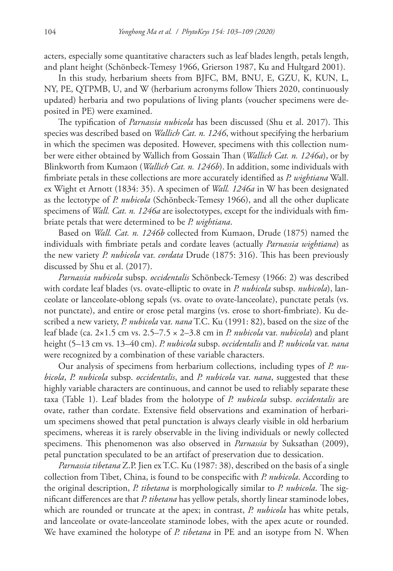acters, especially some quantitative characters such as leaf blades length, petals length, and plant height (Schönbeck-Temesy 1966, Grierson 1987, Ku and Hultgard 2001).

In this study, herbarium sheets from BJFC, BM, BNU, E, GZU, K, KUN, L, NY, PE, QTPMB, U, and W (herbarium acronyms follow Thiers 2020, continuously updated) herbaria and two populations of living plants (voucher specimens were deposited in PE) were examined.

The typification of *Parnassia nubicola* has been discussed (Shu et al. 2017). This species was described based on *Wallich Cat. n. 1246*, without specifying the herbarium in which the specimen was deposited. However, specimens with this collection number were either obtained by Wallich from Gossain Than (*Wallich Cat. n. 1246a*), or by Blinkworth from Kumaon (*Wallich Cat. n. 1246b*). In addition, some individuals with fimbriate petals in these collections are more accurately identified as *P. wightiana* Wall. ex Wight et Arnott (1834: 35). A specimen of *Wall. 1246a* in W has been designated as the lectotype of *P. nubicola* (Schönbeck-Temesy 1966), and all the other duplicate specimens of *Wall. Cat. n. 1246a* are isolectotypes, except for the individuals with fimbriate petals that were determined to be *P. wightiana*.

Based on *Wall. Cat. n. 1246b* collected from Kumaon, Drude (1875) named the individuals with fimbriate petals and cordate leaves (actually *Parnassia wightiana*) as the new variety *P. nubicola* var. *cordata* Drude (1875: 316). This has been previously discussed by Shu et al. (2017).

*Parnassia nubicola* subsp. *occidentalis* Schönbeck-Temesy (1966: 2) was described with cordate leaf blades (vs. ovate-elliptic to ovate in *P. nubicola* subsp. *nubicola*), lanceolate or lanceolate-oblong sepals (vs. ovate to ovate-lanceolate), punctate petals (vs. not punctate), and entire or erose petal margins (vs. erose to short-fimbriate). Ku described a new variety, *P. nubicola* var. *nana* T.C. Ku (1991: 82), based on the size of the leaf blade (ca. 2×1.5 cm vs. 2.5–7.5 × 2–3.8 cm in *P. nubicola* var. *nubicola*) and plant height (5–13 cm vs. 13–40 cm). *P. nubicola* subsp. *occidentalis* and *P. nubicola* var. *nana* were recognized by a combination of these variable characters.

Our analysis of specimens from herbarium collections, including types of *P. nubicola*, *P. nubicola* subsp. *occidentalis*, and *P. nubicola* var. *nana*, suggested that these highly variable characters are continuous, and cannot be used to reliably separate these taxa (Table 1). Leaf blades from the holotype of *P. nubicola* subsp. *occidentalis* are ovate, rather than cordate. Extensive field observations and examination of herbarium specimens showed that petal punctation is always clearly visible in old herbarium specimens, whereas it is rarely observable in the living individuals or newly collected specimens. This phenomenon was also observed in *Parnassia* by Suksathan (2009), petal punctation speculated to be an artifact of preservation due to dessication.

*Parnassia tibetana* Z.P. Jien ex T.C. Ku (1987: 38), described on the basis of a single collection from Tibet, China, is found to be conspecific with *P. nubicola*. According to the original description, *P. tibetana* is morphologically similar to *P. nubicola*. The significant differences are that *P. tibetana* has yellow petals, shortly linear staminode lobes, which are rounded or truncate at the apex; in contrast, *P. nubicola* has white petals, and lanceolate or ovate-lanceolate staminode lobes, with the apex acute or rounded. We have examined the holotype of *P. tibetana* in PE and an isotype from N. When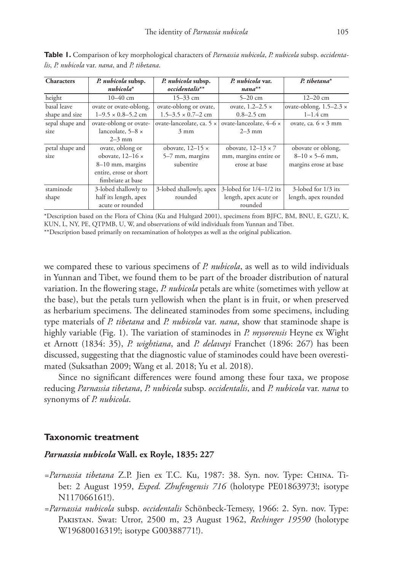| <b>Characters</b> | P. nubicola subsp.        | P. nubicola subsp.            | P. nubicola var.          | $P. tibetana^*$                |
|-------------------|---------------------------|-------------------------------|---------------------------|--------------------------------|
|                   | $nubicola^*$              | $occidentalis**$              | $nana^{**}$               |                                |
| height            | $10-40$ cm                | $15 - 33$ cm                  | $5 - 20$ cm               | $12 - 20$ cm                   |
| basal leave       | ovate or ovate-oblong,    | ovate-oblong or ovate,        | ovate, $1.2-2.5 \times$   | ovate-oblong, $1.5-2.3 \times$ |
| shape and size    | $1-9.5 \times 0.8-5.2$ cm | $1.5 - 3.5 \times 0.7 - 2$ cm | $0.8 - 2.5$ cm            | $1 - 1.4$ cm                   |
| sepal shape and   | ovate-oblong or ovate-    | ovate-lanceolate, ca. 5 x     | ovate-lanceolate, 4-6 x   | ovate, ca. $6 \times 3$ mm     |
| size              | lanceolate, $5-8 \times$  | $3 \text{ mm}$                | $2-3$ mm                  |                                |
|                   | $2-3$ mm                  |                               |                           |                                |
| petal shape and   | ovate, oblong or          | obovate, $12-15 \times$       | obovate, $12-13 \times 7$ | obovate or oblong,             |
| size              | obovate, $12-16 \times$   | 5–7 mm, margins               | mm, margins entire or     | $8-10 \times 5-6$ mm,          |
|                   | $8-10$ mm, margins        | subentire                     | erose at base             | margins erose at base          |
|                   | entire, erose or short    |                               |                           |                                |
|                   | fimbriate at base         |                               |                           |                                |
| staminode         | 3-lobed shallowly to      | 3-lobed shallowly, apex       | 3-lobed for $1/4-1/2$ its | 3-lobed for 1/3 its            |
| shape             | half its length, apex     | rounded                       | length, apex acute or     | length, apex rounded           |
|                   | acute or rounded          |                               | rounded                   |                                |

**Table 1.** Comparison of key morphological characters of *Parnassia nubicola*, *P. nubicola* subsp. *occidentalis*, *P. nubicola* var. *nana*, and *P. tibetana*.

\*Description based on the Flora of China (Ku and Hultgard 2001), specimens from BJFC, BM, BNU, E, GZU, K, KUN, L, NY, PE, QTPMB, U, W, and observations of wild individuals from Yunnan and Tibet. \*\*Description based primarily on reexamination of holotypes as well as the original publication.

we compared these to various specimens of *P. nubicola*, as well as to wild individuals in Yunnan and Tibet, we found them to be part of the broader distribution of natural variation. In the flowering stage, *P. nubicola* petals are white (sometimes with yellow at the base), but the petals turn yellowish when the plant is in fruit, or when preserved as herbarium specimens. The delineated staminodes from some specimens, including type materials of *P. tibetana* and *P. nubicola* var. *nana*, show that staminode shape is highly variable (Fig. 1). The variation of staminodes in *P. mysorensis* Heyne ex Wight et Arnott (1834: 35), *P. wightiana*, and *P. delavayi* Franchet (1896: 267) has been discussed, suggesting that the diagnostic value of staminodes could have been overestimated (Suksathan 2009; Wang et al. 2018; Yu et al. 2018).

Since no significant differences were found among these four taxa, we propose reducing *Parnassia tibetana*, *P. nubicola* subsp. *occidentalis*, and *P. nubicola* var. *nana* to synonyms of *P. nubicola*.

#### **Taxonomic treatment**

#### *Parnassia nubicola* **Wall. ex Royle, 1835: 227**

- *=Parnassia tibetana* Z.P. Jien ex T.C. Ku, 1987: 38. Syn. nov. Type: China. Tibet: 2 August 1959, *Exped. Zhufengensis 716* (holotype PE01863973!; isotype N<sub>117066161!</sub>).
- *=Parnassia nubicola* subsp. *occidentalis* Schönbeck-Temesy, 1966: 2. Syn. nov. Type: Pakistan. Swat: Utror, 2500 m, 23 August 1962, *Rechinger 19590* (holotype W19680016319!; isotype G00388771!).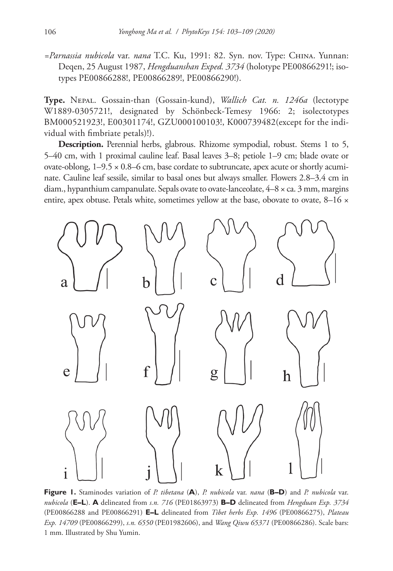*=Parnassia nubicola* var. *nana* T.C. Ku, 1991: 82. Syn. nov. Type: China. Yunnan: Deqen, 25 August 1987, *Hengduanshan Exped. 3734* (holotype PE00866291!; isotypes PE00866288!, PE00866289!, PE00866290!).

**Type.** Nepal. Gossain-than (Gossain-kund), *Wallich Cat. n. 1246a* (lectotype W1889-0305721!, designated by Schönbeck-Temesy 1966: 2; isolectotypes BM000521923!, E00301174!, GZU000100103!, K000739482(except for the individual with fimbriate petals)!).

**Description.** Perennial herbs, glabrous. Rhizome sympodial, robust. Stems 1 to 5, 5–40 cm, with 1 proximal cauline leaf. Basal leaves 3–8; petiole 1–9 cm; blade ovate or ovate-oblong,  $1-9.5 \times 0.8-6$  cm, base cordate to subtruncate, apex acute or shortly acuminate. Cauline leaf sessile, similar to basal ones but always smaller. Flowers 2.8–3.4 cm in diam., hypanthium campanulate. Sepals ovate to ovate-lanceolate,  $4-8 \times$  ca. 3 mm, margins entire, apex obtuse. Petals white, sometimes yellow at the base, obovate to ovate,  $8-16 \times$ 



**Figure 1.** Staminodes variation of *P. tibetana* (**A**), *P. nubicola* var. *nana* (**B–D**) and *P. nubicola* var. *nubicola* (**E–L**). **A** delineated from *s.n. 716* (PE01863973) **B–D** delineated from *Hengduan Exp. 3734* (PE00866288 and PE00866291) **E–L** delineated from *Tibet herbs Exp. 1496* (PE00866275), *Plateau Exp. 14709* (PE00866299), *s.n. 6550* (PE01982606), and *Wang Qiwu 65371* (PE00866286). Scale bars: 1 mm. Illustrated by Shu Yumin.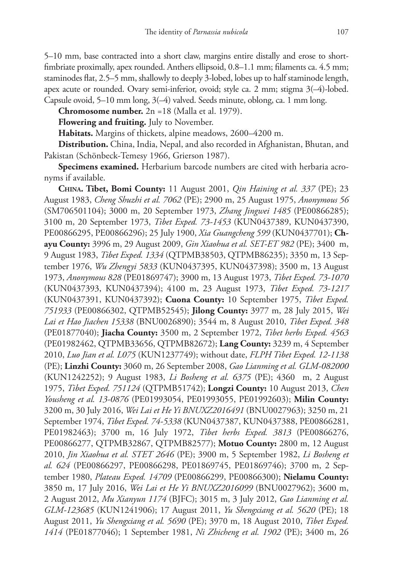5–10 mm, base contracted into a short claw, margins entire distally and erose to shortfimbriate proximally, apex rounded. Anthers ellipsoid, 0.8–1.1 mm; filaments ca. 4.5 mm; staminodes flat, 2.5–5 mm, shallowly to deeply 3-lobed, lobes up to half staminode length, apex acute or rounded. Ovary semi-inferior, ovoid; style ca. 2 mm; stigma 3(–4)-lobed. Capsule ovoid, 5–10 mm long, 3(–4) valved. Seeds minute, oblong, ca. 1 mm long.

**Chromosome number.** 2n =18 (Malla et al. 1979).

**Flowering and fruiting.** July to November.

**Habitats.** Margins of thickets, alpine meadows, 2600–4200 m.

**Distribution.** China, India, Nepal, and also recorded in Afghanistan, Bhutan, and Pakistan (Schönbeck-Temesy 1966, Grierson 1987).

**Specimens examined.** Herbarium barcode numbers are cited with herbaria acronyms if available.

**China. Tibet, Bomi County:** 11 August 2001, *Qin Haining et al. 337* (PE); 23 August 1983, *Cheng Shuzhi et al. 7062* (PE); 2900 m, 25 August 1975, *Anonymous 56* (SM706501104); 3000 m, 20 September 1973, *Zhang Jingwei 1485* (PE00866285); 3100 m, 20 September 1973, *Tibet Exped. 73-1453* (KUN0437389, KUN0437390, PE00866295, PE00866296); 25 July 1900, *Xia Guangcheng 599* (KUN0437701); **Chayu County:** 3996 m, 29 August 2009, *Gin Xiaohua et al. SET-ET 982* (PE); 3400 m, 9 August 1983, *Tibet Exped. 1334* (QTPMB38503, QTPMB86235); 3350 m, 13 September 1976, *Wu Zhengyi 5833* (KUN0437395, KUN0437398); 3500 m, 13 August 1973, *Anonymous 828* (PE01869747); 3900 m, 13 August 1973, *Tibet Exped. 73-1070* (KUN0437393, KUN0437394); 4100 m, 23 August 1973, *Tibet Exped. 73-1217* (KUN0437391, KUN0437392); **Cuona County:** 10 September 1975, *Tibet Exped. 751933* (PE00866302, QTPMB52545); **Jilong County:** 3977 m, 28 July 2015, *Wei Lai et Hao Jiachen 15338* (BNU0026890); 3544 m, 8 August 2010, *Tibet Exped. 348* (PE01877040); **Jiacha County:** 3500 m, 2 September 1972, *Tibet herbs Exped. 4563* (PE01982462, QTPMB33656, QTPMB82672); **Lang County:** 3239 m, 4 September 2010, *Luo Jian et al. L075* (KUN1237749); without date, *FLPH Tibet Exped. 12-1138* (PE); **Linzhi County:** 3060 m, 26 September 2008, *Gao Lianming et al. GLM-082000* (KUN1242252); 9 August 1983, *Li Bosheng et al. 6375* (PE); 4360 m, 2 August 1975, *Tibet Exped. 751124* (QTPMB51742); **Longzi County:** 10 August 2013, *Chen Yousheng et al. 13-0876* (PE01993054, PE01993055, PE01992603); **Milin County:** 3200 m, 30 July 2016, *Wei Lai et He Yi BNUXZ2016491* (BNU0027963); 3250 m, 21 September 1974, *Tibet Exped. 74-5338* (KUN0437387, KUN0437388, PE00866281, PE01982463); 3700 m, 16 July 1972, *Tibet herbs Exped. 3813* (PE00866276, PE00866277, QTPMB32867, QTPMB82577); **Motuo County:** 2800 m, 12 August 2010, *Jin Xiaohua et al. STET 2646* (PE); 3900 m, 5 September 1982, *Li Bosheng et al. 624* (PE00866297, PE00866298, PE01869745, PE01869746); 3700 m, 2 September 1980, *Plateau Exped. 14709* (PE00866299, PE00866300); **Nielamu County:** 3850 m, 17 July 2016, *Wei Lai et He Yi BNUXZ2016099* (BNU0027962); 3600 m, 2 August 2012, *Mu Xianyun 1174* (BJFC); 3015 m, 3 July 2012, *Gao Lianming et al. GLM-123685* (KUN1241906); 17 August 2011, *Yu Shengxiang et al. 5620* (PE); 18 August 2011, *Yu Shengxiang et al. 5690* (PE); 3970 m, 18 August 2010, *Tibet Exped. 1414* (PE01877046); 1 September 1981, *Ni Zhicheng et al. 1902* (PE); 3400 m, 26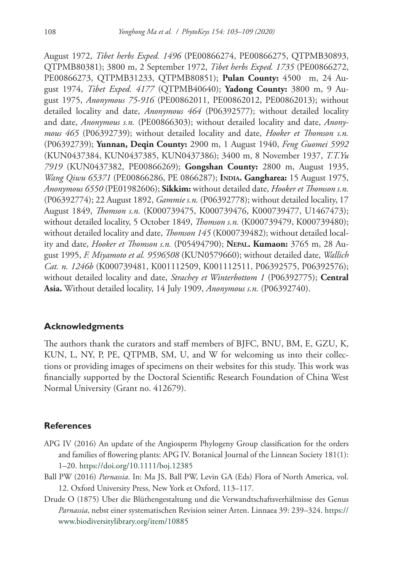August 1972, *Tibet herbs Exped. 1496* (PE00866274, PE00866275, QTPMB30893, QTPMB80381); 3800 m, 2 September 1972, *Tibet herbs Exped. 1735* (PE00866272, PE00866273, QTPMB31233, QTPMB80851); **Pulan County:** 4500 m, 24 August 1974, *Tibet Exped. 4177* (QTPMB40640); **Yadong County:** 3800 m, 9 August 1975, *Anonymous 75-916* (PE00862011, PE00862012, PE00862013); without detailed locality and date, *Anonymous 464* (P06392577); without detailed locality and date, *Anonymous s.n.* (PE00866303); without detailed locality and date, *Anonymous 465* (P06392739); without detailed locality and date, *Hooker et Thomson s.n.* (P06392739); **Yunnan, Deqin County:** 2900 m, 1 August 1940, *Feng Guomei 5992* (KUN0437384, KUN0437385, KUN0437386); 3400 m, 8 November 1937, *T.T.Yu 7919* (KUN0437382, PE00866269); **Gongshan County:** 2800 m, August 1935, *Wang Qiwu 65371* (PE00866286, PE 0866287); **India. Gangharea:** 15 August 1975, *Anonymous 6550* (PE01982606); **Sikkim:** without detailed date, *Hooker et Thomson s.n.* (P06392774); 22 August 1892, *Gammie s.n.* (P06392778); without detailed locality, 17 August 1849, *Thomson s.n.* (K000739475, K000739476, K000739477, U1467473); without detailed locality, 5 October 1849, *Thomson s.n.* (K000739479, K000739480); without detailed locality and date, *Thomson 145* (K000739482); without detailed locality and date, *Hooker et Thomson s.n.* (P05494790); **Nepal. Kumaon:** 3765 m, 28 August 1995, *F. Miyamoto et al. 9596508* (KUN0579660); without detailed date, *Wallich Cat. n. 1246b* (K000739481, K001112509, K001112511, P06392575, P06392576); without detailed locality and date, *Strachey et Winterbottom 1* (P06392775); **Central Asia.** Without detailed locality, 14 July 1909, *Anonymous s.n.* (P06392740).

#### **Acknowledgments**

The authors thank the curators and staff members of BJFC, BNU, BM, E, GZU, K, KUN, L, NY, P, PE, QTPMB, SM, U, and W for welcoming us into their collections or providing images of specimens on their websites for this study. This work was financially supported by the Doctoral Scientific Research Foundation of China West Normal University (Grant no. 412679).

### **References**

- APG IV (2016) An update of the Angiosperm Phylogeny Group classification for the orders and families of flowering plants: APG IV. Botanical Journal of the Linnean Society 181(1): 1–20.<https://doi.org/10.1111/boj.12385>
- Ball PW (2016) *Parnassia*. In: Ma JS, Ball PW, Levin GA (Eds) Flora of North America, vol. 12. Oxford University Press, New York et Oxford, 113–117.
- Drude O (1875) Uber die Blüthengestaltung und die Verwandtschaftsverhältnisse des Genus *Parnassia*, nebst einer systematischen Revision seiner Arten. Linnaea 39: 239–324. [https://](https://www.biodiversitylibrary.org/item/10885) [www.biodiversitylibrary.org/item/10885](https://www.biodiversitylibrary.org/item/10885)